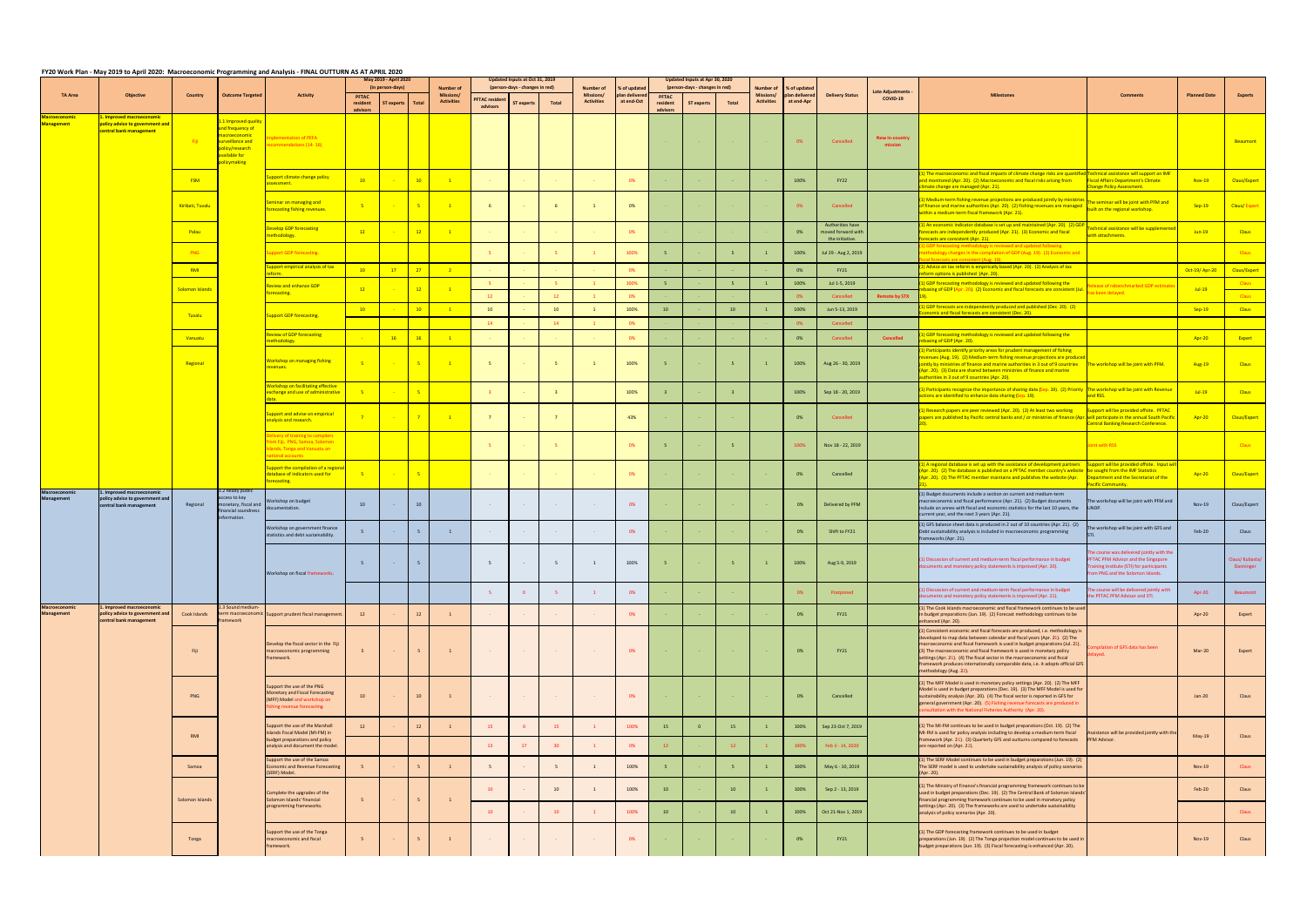|  |  | FY20 Work Plan - May 2019 to April 2020: Macroeconomic Programming and Analysis - FINAL OUTTURN AS AT APRIL 2020 |
|--|--|------------------------------------------------------------------------------------------------------------------|
|  |  |                                                                                                                  |

|                                           |                                                                                         |                  |                                                                                                                                         | 10.71101                                                                                                                  | . <i>. .</i> .<br>May 2019 - April 2020<br>(in person-days) |                 |                |                                                    | Updated Inputs at Oct 31, 2019<br>(person-days - changes in red) |            |                 |                                             |                                           | Updated Inputs at Apr 30, 2020<br>(person-days - changes in red) |                   |                 |                                             |                                             |                                                                  |                              |                                                                                                                                                                                                                                                                                                                                                                                                                                                                                                                 |                                                                                                                                                           |                     |                             |
|-------------------------------------------|-----------------------------------------------------------------------------------------|------------------|-----------------------------------------------------------------------------------------------------------------------------------------|---------------------------------------------------------------------------------------------------------------------------|-------------------------------------------------------------|-----------------|----------------|----------------------------------------------------|------------------------------------------------------------------|------------|-----------------|---------------------------------------------|-------------------------------------------|------------------------------------------------------------------|-------------------|-----------------|---------------------------------------------|---------------------------------------------|------------------------------------------------------------------|------------------------------|-----------------------------------------------------------------------------------------------------------------------------------------------------------------------------------------------------------------------------------------------------------------------------------------------------------------------------------------------------------------------------------------------------------------------------------------------------------------------------------------------------------------|-----------------------------------------------------------------------------------------------------------------------------------------------------------|---------------------|-----------------------------|
| <b>TA Area</b>                            | <b>Objective</b>                                                                        | Country          | <b>Outcome Targeted</b>                                                                                                                 | Activity                                                                                                                  | PFTAC<br>resident<br>advisors                               | ST experts      | Total          | <b>Number of</b><br>Missions/<br><b>Activities</b> | <b>PFTAC</b> residen<br>advisors                                 | ST experts | Total           | Number of<br>Missions/<br><b>Activities</b> | % of update<br>olan deliver<br>at end-Oct | <b>PFTAC</b><br>resident<br>advisors                             | <b>ST experts</b> | Total           | Number of<br>Missions/<br><b>Activities</b> | % of update<br>plan delivered<br>at end-Apr | <b>Delivery Status</b>                                           | Late Adjustments<br>COVID-19 | Milestone                                                                                                                                                                                                                                                                                                                                                                                                                                                                                                       | <b>Comments</b>                                                                                                                                           | <b>Planned Date</b> | <b>Experts</b>              |
| lacroeconomi<br><b>Management</b>         | . Improved macroeconomic<br>policy advice to government and<br>central bank management  | - Fiji           | .1 Improved quality<br><mark>Ind frequency of</mark><br>acroeconomic<br>urveillance and<br>olicy/research<br>vailable for<br>licymaking | lementation of PEFA<br>mmendations (14-16)                                                                                |                                                             |                 |                |                                                    |                                                                  |            |                 |                                             |                                           |                                                                  |                   |                 |                                             | 0%                                          | Cancelled                                                        | New in-country               |                                                                                                                                                                                                                                                                                                                                                                                                                                                                                                                 |                                                                                                                                                           |                     | Beaumont                    |
|                                           |                                                                                         | <b>FSM</b>       |                                                                                                                                         | upport climate change policy<br>sessment.                                                                                 | 10                                                          |                 | 10             | $\blacksquare$                                     |                                                                  |            |                 |                                             | 0%                                        |                                                                  |                   |                 |                                             | 100%                                        | FY22                                                             |                              | ) The macroeconomic and fiscal impacts of climate change risks are quantified Technical assistance will support an IMF<br>and monitored (Apr. 20). (2) Macroeconomic and fiscal risks arising from<br>limate change are managed (Apr. 21).                                                                                                                                                                                                                                                                      | <b>Fiscal Affairs Department's Climate</b><br>hange Policy Assessment.                                                                                    | Nov-19              | Claus/Expert                |
|                                           |                                                                                         | Kiribati, Tuvalu |                                                                                                                                         | eminar on managing and<br>forecasting fishing revenues.                                                                   | $-5$                                                        |                 | $-5$           | $\overline{1}$                                     |                                                                  |            |                 |                                             | 0%                                        |                                                                  |                   |                 |                                             | 0%                                          | Cancelled                                                        |                              | 1) Medium-term fishing revenue projections are produced jointly by ministries<br>of finance and marine authorities (Apr. 20). (2) Fishing revenues are managed<br>If finance and marine authorities (Apr. 20). (2) Fishing revenues are managed built on the regional workshop.<br>vithin a medium-term fiscal framework (Apr. 21).                                                                                                                                                                             | The seminar will be joint with PFM and                                                                                                                    | $Sep-19$            | <b>Claus/Expert</b>         |
|                                           |                                                                                         | Palau            |                                                                                                                                         | evelop GDP forecasting<br>ethodology.                                                                                     | 12                                                          |                 | $-12$          | $\blacksquare$                                     |                                                                  |            |                 |                                             | 0%                                        |                                                                  |                   |                 |                                             | 0%                                          | <b>Authorities have</b><br>moved forward with<br>the initiative. |                              | 1) An economic indicator database is set up and maintained (Apr. 20). (2) GI<br>recasts are independently produced (Apr. 21). (3) Economic and fiscal<br>recasts are consistent (Apr. 21).                                                                                                                                                                                                                                                                                                                      | chnical assistance will be supplement<br>ith attachments.                                                                                                 | $Jun-19$            | <b>Claus</b>                |
|                                           |                                                                                         | <b>PNG</b>       |                                                                                                                                         | <b>pport GDP forecasting.</b>                                                                                             |                                                             |                 |                |                                                    |                                                                  |            |                 |                                             | 100%                                      |                                                                  |                   |                 |                                             | 100%                                        | Jul 29 - Aug 2, 2019                                             |                              | SDP forecasting methodology is reviewed and updated following<br>thodology changes in the compilation of GDP (Aug. 19). (2) Economic and<br>al forecasts are consistent (Aug. 19)                                                                                                                                                                                                                                                                                                                               |                                                                                                                                                           |                     | <b>Claus</b>                |
|                                           |                                                                                         | RMI              |                                                                                                                                         | ipport empirical analysis of tax<br>vm.                                                                                   | 10                                                          | $\frac{17}{2}$  | $-27$          | $\overline{2}$                                     |                                                                  |            |                 |                                             | 0%                                        |                                                                  |                   |                 |                                             | 0%                                          | FY21                                                             |                              | ) Advice on tax reform is empirically based (Apr. 20). (2) Analysis of tax<br>orm options is published (Apr. 20).                                                                                                                                                                                                                                                                                                                                                                                               |                                                                                                                                                           | Oct-19/Apr-20       | Claus/Expert                |
|                                           |                                                                                         | Solomon Islands  |                                                                                                                                         | eview and enhance GDP                                                                                                     | 12                                                          |                 | $-12$          | $\overline{1}$                                     |                                                                  |            |                 |                                             | 100%                                      | $-5$                                                             |                   | $-5$            |                                             | 100%                                        | Jul 1-5, 2019                                                    |                              | GDP forecasting methodology is reviewed and updated following the<br>asing of GDP (Apr. 20). (2) Economic and fiscal forecasts are consistent (Jul.                                                                                                                                                                                                                                                                                                                                                             | lease of rebenchmarked GDP estim<br>s been delayed.                                                                                                       | $Jul-19$            | <b>Claus</b>                |
|                                           |                                                                                         |                  |                                                                                                                                         | precasting.                                                                                                               |                                                             |                 |                |                                                    |                                                                  |            |                 |                                             | 0%                                        |                                                                  |                   |                 |                                             | 0%                                          | Cancelled                                                        | <b>Remote by STX</b>         | GDP forecasts are independently produced and published (Dec. 20). (2)                                                                                                                                                                                                                                                                                                                                                                                                                                           |                                                                                                                                                           |                     | <b>Claus</b>                |
|                                           |                                                                                         | Tuvalu           |                                                                                                                                         | upport GDP forecasting.                                                                                                   | 10                                                          |                 | 10             | $\blacksquare$                                     | 10                                                               |            | 10              |                                             | 100%                                      | 10                                                               |                   | 10              |                                             | 100%                                        | Jun 5-13, 2019                                                   |                              | omic and fiscal forecasts are consistent (Dec. 20).                                                                                                                                                                                                                                                                                                                                                                                                                                                             |                                                                                                                                                           | $Sep-19$            | <b>Claus</b>                |
|                                           |                                                                                         | Vanuatu          |                                                                                                                                         | eview of GDP forecasting                                                                                                  |                                                             | 16              | 16             | $\overline{1}$                                     | 14                                                               |            | 14              |                                             | 0%<br>0%                                  |                                                                  |                   |                 |                                             | 0%                                          | Cancelled<br>Cancelled                                           | <b>Cancelled</b>             | ) GDP forecasting methodology is reviewed and updated following the                                                                                                                                                                                                                                                                                                                                                                                                                                             |                                                                                                                                                           | Apr-20              | Expert                      |
|                                           |                                                                                         | Regional         |                                                                                                                                         | ethodology.<br>Norkshop on managing fishing<br>venues.                                                                    |                                                             |                 | $-5$           | $\blacksquare$                                     |                                                                  |            |                 |                                             | 100%                                      | - 5                                                              |                   |                 |                                             | 100%                                        | Aug 26 - 30, 2019                                                |                              | basing of GDP (Apr. 20).<br>1) Participants identify priority areas for prudent management of fishing<br>venues (Aug. 19). (2) Medium-term fishing revenue projections are produced<br>ointly by ministries of finance and marine authorities in 3 out of 9 countries The workshop will be joint with PFM.<br>Apr. 20). (3) Data are shared between ministries of finance and marine<br>uthorities in 3 out of 9 countries (Apr. 20).                                                                           |                                                                                                                                                           | <b>Aug-19</b>       | <b>Claus</b>                |
|                                           |                                                                                         |                  |                                                                                                                                         | <b>Jorkshop on facilitating effective</b><br><b>xchange and use of administrative</b>                                     | $-5$                                                        | <b>Contract</b> | $-5$           |                                                    |                                                                  |            |                 |                                             | 100%                                      |                                                                  |                   | $\overline{3}$  |                                             | 100%                                        | Sep 18 - 20, 2019                                                |                              | ) Participants recognize the importance of sharing data (Sep. 19). (2) Priority The workshop will be joint with Revenue<br>tions are identified to enhance data sharing (Sep. 19).                                                                                                                                                                                                                                                                                                                              | nd RSS.                                                                                                                                                   | $Jul-19$            | <b>Claus</b>                |
|                                           |                                                                                         |                  |                                                                                                                                         | upport and advise on empirical<br>nalysis and research.                                                                   |                                                             |                 | 7 <sup>2</sup> | $\blacksquare$                                     |                                                                  |            |                 |                                             | 43%                                       |                                                                  |                   |                 |                                             | 0%                                          | Cancelled                                                        |                              | Research papers are peer reviewed (Apr. 20). (2) At least two working<br>apers are published by Pacific central banks and / or ministries of finance (Apr. will participate in the annual South Pacific                                                                                                                                                                                                                                                                                                         | <b>Support will be provided offsite. PFTAC</b><br><b>Central Banking Research Conference.</b>                                                             | Apr-20              | <b>Claus/Expert</b>         |
|                                           |                                                                                         |                  |                                                                                                                                         | ivery of training to compilers<br>im Fiji, PNG, Samoa, Solomon<br>lands, Tonga and Vanuatu on<br>cional accounts          |                                                             |                 |                |                                                    |                                                                  |            |                 |                                             | 0%                                        | $-5$                                                             |                   | 5 <sup>1</sup>  |                                             | 100%                                        | Nov 18 - 22, 2019                                                |                              |                                                                                                                                                                                                                                                                                                                                                                                                                                                                                                                 | int with RSS                                                                                                                                              |                     | <b>Claus</b>                |
|                                           |                                                                                         |                  |                                                                                                                                         | upport the compilation of a regio<br>atabase of indicators used for<br>precasting.                                        | - 5                                                         |                 | $-5$           |                                                    |                                                                  |            |                 |                                             | 0%                                        |                                                                  |                   |                 |                                             | 0%                                          | Cancelled                                                        |                              | ) A regional database is set up with the assistance of development partners Support will be provided offsite. Input w<br>pr. 20). (2) The database is published on a PFTAC member country's website be sought from the IMF Statistics<br>pr. 20). (3) The PFTAC member maintains and publishes the website (Apr.                                                                                                                                                                                                | Department and the Secretariat of the<br>acific Community.                                                                                                | Apr-20              | <b>Claus/Expert</b>         |
|                                           | . Improved macroeconomic<br>olicy advice to government and<br>central bank management   | Regional         | ! Ready public<br>ccess to key<br>nonetary, fiscal and<br>inancial soundness<br>nformation.                                             | Vorkshop on budget<br>cumentation.                                                                                        | 10                                                          | $\sim$          | 10             |                                                    |                                                                  |            | <b>Contract</b> |                                             | 0%                                        |                                                                  |                   |                 |                                             | 0%                                          | Delivered by PFM                                                 |                              | 1) Budget documents include a section on current and medium-term<br>macroeconomic and fiscal performance (Apr. 21). (2) Budget documents<br>include an annex with fiscal and economic statistics for the last 10 years, the<br>current year, and the next 3 years (Apr. 21).                                                                                                                                                                                                                                    | The workshop will be joint with PFM and                                                                                                                   | Nov-19              | Claus/Expert                |
|                                           |                                                                                         |                  |                                                                                                                                         | Norkshop on government finance<br>statistics and debt sustainability.                                                     |                                                             |                 | $-5$           | $\mathbf{1}$                                       |                                                                  |            |                 |                                             | 0%                                        |                                                                  |                   |                 |                                             | 0%                                          | Shift to FY21                                                    |                              | (1) GFS balance sheet data is produced in 2 out of 10 countries (Apr. 21). (2)<br>Debt sustainability analysis is included in macroeconomic programming<br>rameworks (Apr. 21).                                                                                                                                                                                                                                                                                                                                 | The workshop will be joint with GFS and                                                                                                                   | Feb-20              | Claus                       |
|                                           |                                                                                         |                  |                                                                                                                                         | Workshop on fiscal frameworks.                                                                                            |                                                             |                 |                |                                                    |                                                                  |            | 5               | <sup>1</sup>                                | 100%                                      | 5 <sup>5</sup>                                                   |                   | 5 <sup>5</sup>  | $\mathbf{1}$                                | 100%                                        | Aug 5-9, 2019                                                    |                              | (1) Discussion of current and medium-term fiscal performance in budget<br>ments and monetary policy statements is improved (Apr. 20).                                                                                                                                                                                                                                                                                                                                                                           | e course was delivered jointly with the<br>PFTAC PFM Advisor and the Singapore<br>ing institute (STI) for participants<br>om PNG and the Solomon Islands. |                     | Claus/Kubasta/<br>Danninger |
|                                           |                                                                                         |                  |                                                                                                                                         |                                                                                                                           |                                                             |                 |                |                                                    |                                                                  |            | -5.             | $\mathbf{1}$                                | 0%                                        |                                                                  |                   |                 |                                             | 0%                                          | Postponed                                                        |                              | ) Discussion of current and medium-term fiscal performance in budget<br>ocuments and monetary policy statements is improved (Apr. 21).                                                                                                                                                                                                                                                                                                                                                                          | e course will be delivered jointly with<br>e PFTAC PFM Advisor and STI.                                                                                   | Apr-20              | Beaumont                    |
| <b>Macroeconomic</b><br><b>Management</b> | 1. Improved macroeconomic<br>policy advice to government and<br>central bank management | Cook Islands     | .3 Sound medium-<br>ramework                                                                                                            | erm macroeconomic Support prudent fiscal management.                                                                      | 12                                                          |                 | 12             | $\mathbf{1}$                                       |                                                                  |            |                 |                                             | 0%                                        |                                                                  |                   |                 |                                             | 0%                                          | <b>FY21</b>                                                      |                              | (1) The Cook Islands macroeconomic and fiscal framework continues to be used<br>in budget preparations (Jun. 19). (2) Forecast methodology continues to be<br>enhanced (Apr. 20).                                                                                                                                                                                                                                                                                                                               |                                                                                                                                                           | Apr-20              | Expert                      |
|                                           |                                                                                         | Fiji             |                                                                                                                                         | Develop the fiscal sector in the Fiji<br>macroeconomic programming<br>ramework.                                           |                                                             |                 |                | $\mathbf{1}$                                       |                                                                  |            |                 |                                             | 0%                                        |                                                                  |                   | <b>Contract</b> |                                             | 0%                                          | <b>FY21</b>                                                      |                              | (1) Consistent economic and fiscal forecasts are produced, i.e. methodology is<br>developed to map data between calendar and fiscal years (Apr. 21). (2) The<br>macroeconomic and fiscal framework is used in budget preparations (Jul. 21).<br>(3) The macroeconomic and fiscal framework is used in monetary policy<br>settings (Apr. 21). (4) The fiscal sector in the macroeconomic and fiscal<br>framework produces internationally comparable data, i.e. it adopts official GFS<br>nethodology (Aug. 22). | pilation of GFS data has been                                                                                                                             | Mar-20              | Expert                      |
|                                           |                                                                                         | PNG              |                                                                                                                                         | Support the use of the PNG<br>Monetary and Fiscal Forecasting<br>(MFF) Model and workshop on<br>hing revenue forecasting. | 10                                                          |                 | 10             | 1                                                  |                                                                  |            |                 |                                             | 0%                                        |                                                                  |                   |                 |                                             | 0%                                          | Cancelled                                                        |                              | 1) The MFF Model is used in monetary policy settings (Apr. 20). (2) The MFF<br>Model is used in budget preparations (Dec. 19). (3) The MFF Model is used for<br>sustainability analysis (Apr. 20). (4) The fiscal sector is reported in GFS for<br>general government (Apr. 20). (5) Fishing revenue forecasts are produced in<br>isultation with the National Fisheries Authority (Apr. 20).                                                                                                                   |                                                                                                                                                           | $Jan-20$            | Claus                       |
|                                           |                                                                                         |                  |                                                                                                                                         | Support the use of the Marshall<br>Islands Fiscal Model (MI-FM) in                                                        | 12                                                          |                 | 12             | 1                                                  | 15                                                               |            | 15              | $\mathbf{1}$                                | 100%                                      | 15                                                               |                   | 15              |                                             | 100%                                        | Sep 23-Oct 7, 2019                                               |                              | (1) The MI-FM continues to be used in budget preparations (Oct. 19). (2) The<br>MI-FM is used for policy analysis including to develop a medium-term fiscal                                                                                                                                                                                                                                                                                                                                                     | ssistance will be provided jointly with the                                                                                                               |                     |                             |
|                                           |                                                                                         | RMI              |                                                                                                                                         | budget preparations and policy<br>analysis and document the model.                                                        |                                                             |                 |                |                                                    | 13                                                               | 17         | 30              | $\mathbf{1}$                                | 0%                                        | 12                                                               |                   | 12              |                                             | 100%                                        | Feb 3 - 14, 2020                                                 |                              | framework (Apr. 21). (3) Quarterly GFS and outturns compared to forecasts<br>are reported on (Apr. 22).                                                                                                                                                                                                                                                                                                                                                                                                         | PFM Advisor.                                                                                                                                              | May-19              | Claus                       |
|                                           |                                                                                         | Samoa            |                                                                                                                                         | support the use of the Samoa<br>conomic and Revenue Forecasting<br>(SERF) Model.                                          |                                                             |                 |                | $\mathbf{1}$                                       |                                                                  |            | 5               | 1                                           | 100%                                      | 5 <sup>5</sup>                                                   |                   | 5               |                                             | 100%                                        | May 6 - 10, 2019                                                 |                              | (1) The SERF Model continues to be used in budget preparations (Jun. 19). (2)<br>The SERF model is used to undertake sustainability analysis of policy scenarios<br>Apr. 20).                                                                                                                                                                                                                                                                                                                                   |                                                                                                                                                           | Nov-19              | Claus                       |
|                                           |                                                                                         | Solomon Islands  |                                                                                                                                         | Complete the upgrades of the<br>olomon Islands' financial                                                                 |                                                             |                 |                | $\mathbf{1}$                                       | 10                                                               |            | 10              | 1                                           | 100%                                      | 10                                                               |                   | 10              |                                             | 100%                                        | Sep 2 - 13, 2019                                                 |                              | (1) The Ministry of Finance's financial programming framework continues to be<br>used in budget preparations (Dec. 19). (2) The Central Bank of Solomon Islands<br>financial programming framework continues to be used in monetary policy                                                                                                                                                                                                                                                                      |                                                                                                                                                           | Feb-20              | Claus                       |
|                                           |                                                                                         |                  |                                                                                                                                         | programming frameworks.                                                                                                   |                                                             |                 |                |                                                    | 10                                                               |            | 10              |                                             | 100%                                      | 10                                                               |                   | 10              |                                             | 100%                                        | Oct 21-Nov 1, 2019                                               |                              | settings (Apr. 20). (3) The frameworks are used to undertake sustainability<br>analysis of policy scenarios (Apr. 20).                                                                                                                                                                                                                                                                                                                                                                                          |                                                                                                                                                           |                     | <b>Claus</b>                |
|                                           |                                                                                         | Tonga            |                                                                                                                                         | support the use of the Tonga<br>nacroeconomic and fiscal<br>amework.                                                      |                                                             |                 |                |                                                    |                                                                  |            |                 |                                             | 0%                                        |                                                                  |                   |                 |                                             | 0%                                          | FY21                                                             |                              | 1) The GDP forecasting framework continues to be used in budget<br>preparations (Jun. 19). (2) The Tonga projection model continues to be used in<br>oudget preparations (Jun. 19). (3) Fiscal forecasting is enhanced (Apr. 20).                                                                                                                                                                                                                                                                               |                                                                                                                                                           | Nov-19              | Claus                       |